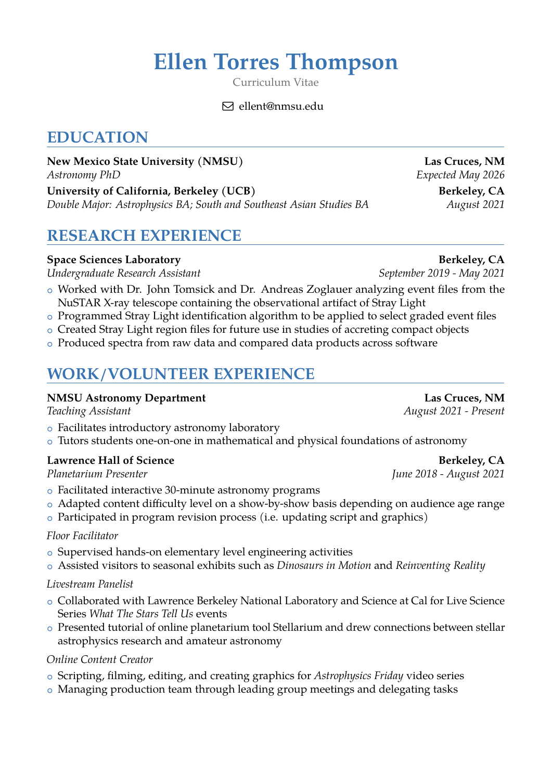# **Ellen Torres Thompson**

Curriculum Vitae

 $\boxdot$  ellent@nmsu.edu

## **EDUCATION**

**New Mexico State University (NMSU) Las Cruces, NM** *Astronomy PhD Expected May 2026* University of California, Berkeley (UCB) Berkeley, CA

*Double Major: Astrophysics BA; South and Southeast Asian Studies BA August 2021* 

## **RESEARCH EXPERIENCE**

### **Space Sciences Laboratory Berkeley, CA**

*Undergraduate Research Assistant September 2019 - May 2021*

- o Worked with Dr. John Tomsick and Dr. Andreas Zoglauer analyzing event files from the NuSTAR X-ray telescope containing the observational artifact of Stray Light
- o Programmed Stray Light identification algorithm to be applied to select graded event files
- o Created Stray Light region files for future use in studies of accreting compact objects
- o Produced spectra from raw data and compared data products across software

## **WORK/VOLUNTEER EXPERIENCE**

#### **NMSU Astronomy Department Las Cruces, NM**

- o Facilitates introductory astronomy laboratory
- o Tutors students one-on-one in mathematical and physical foundations of astronomy

### Lawrence Hall of Science **Berkeley, CA**

*Planetarium Presenter June 2018 - August 2021*

- o Facilitated interactive 30-minute astronomy programs
- o Adapted content difficulty level on a show-by-show basis depending on audience age range
- o Participated in program revision process (i.e. updating script and graphics)

#### *Floor Facilitator*

- o Supervised hands-on elementary level engineering activities
- <sup>+</sup> Assisted visitors to seasonal exhibits such as *Dinosaurs in Motion* and *Reinventing Reality*

#### *Livestream Panelist*

- o Collaborated with Lawrence Berkeley National Laboratory and Science at Cal for Live Science Series *What The Stars Tell Us* events
- o Presented tutorial of online planetarium tool Stellarium and drew connections between stellar astrophysics research and amateur astronomy

#### *Online Content Creator*

- <sup>+</sup> Scripting, filming, editing, and creating graphics for *Astrophysics Friday* video series
- o Managing production team through leading group meetings and delegating tasks

*Teaching Assistant August 2021 - Present*